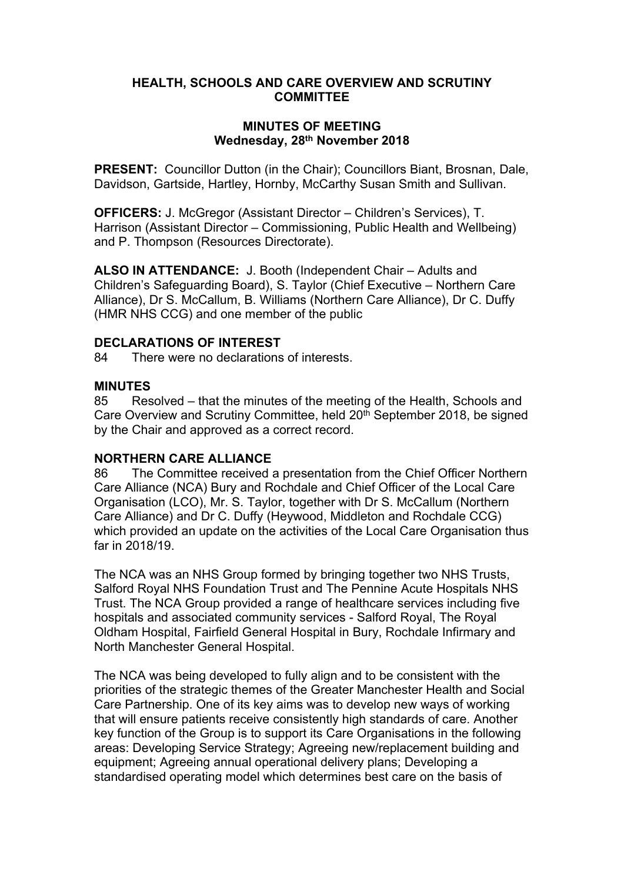# **HEALTH, SCHOOLS AND CARE OVERVIEW AND SCRUTINY COMMITTEE**

### **MINUTES OF MEETING Wednesday, 28th November 2018**

**PRESENT:** Councillor Dutton (in the Chair); Councillors Biant, Brosnan, Dale, Davidson, Gartside, Hartley, Hornby, McCarthy Susan Smith and Sullivan.

**OFFICERS:** J. McGregor (Assistant Director – Children's Services), T. Harrison (Assistant Director – Commissioning, Public Health and Wellbeing) and P. Thompson (Resources Directorate).

**ALSO IN ATTENDANCE:** J. Booth (Independent Chair – Adults and Children's Safeguarding Board), S. Taylor (Chief Executive – Northern Care Alliance), Dr S. McCallum, B. Williams (Northern Care Alliance), Dr C. Duffy (HMR NHS CCG) and one member of the public

# **DECLARATIONS OF INTEREST**

84 There were no declarations of interests.

### **MINUTES**

85 Resolved – that the minutes of the meeting of the Health, Schools and Care Overview and Scrutiny Committee, held 20<sup>th</sup> September 2018, be signed by the Chair and approved as a correct record.

# **NORTHERN CARE ALLIANCE**

86 The Committee received a presentation from the Chief Officer Northern Care Alliance (NCA) Bury and Rochdale and Chief Officer of the Local Care Organisation (LCO), Mr. S. Taylor, together with Dr S. McCallum (Northern Care Alliance) and Dr C. Duffy (Heywood, Middleton and Rochdale CCG) which provided an update on the activities of the Local Care Organisation thus far in 2018/19.

The NCA was an NHS Group formed by bringing together two NHS Trusts, Salford Royal NHS Foundation Trust and The Pennine Acute Hospitals NHS Trust. The NCA Group provided a range of healthcare services including five hospitals and associated community services - Salford Royal, The Royal Oldham Hospital, Fairfield General Hospital in Bury, Rochdale Infirmary and North Manchester General Hospital.

The NCA was being developed to fully align and to be consistent with the priorities of the strategic themes of the Greater Manchester Health and Social Care Partnership. One of its key aims was to develop new ways of working that will ensure patients receive consistently high standards of care. Another key function of the Group is to support its Care Organisations in the following areas: Developing Service Strategy; Agreeing new/replacement building and equipment; Agreeing annual operational delivery plans; Developing a standardised operating model which determines best care on the basis of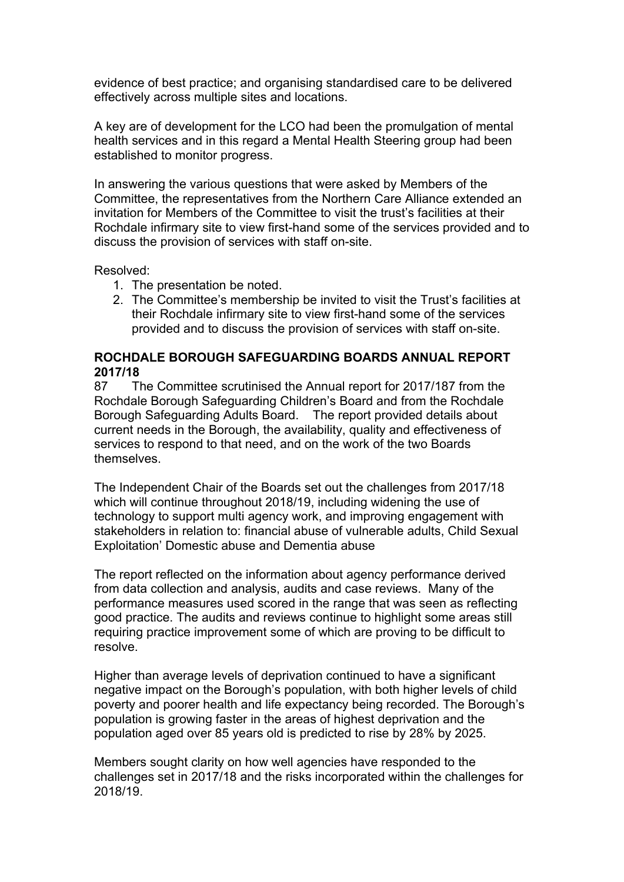evidence of best practice; and organising standardised care to be delivered effectively across multiple sites and locations.

A key are of development for the LCO had been the promulgation of mental health services and in this regard a Mental Health Steering group had been established to monitor progress.

In answering the various questions that were asked by Members of the Committee, the representatives from the Northern Care Alliance extended an invitation for Members of the Committee to visit the trust's facilities at their Rochdale infirmary site to view first-hand some of the services provided and to discuss the provision of services with staff on-site.

Resolved:

- 1. The presentation be noted.
- 2. The Committee's membership be invited to visit the Trust's facilities at their Rochdale infirmary site to view first-hand some of the services provided and to discuss the provision of services with staff on-site.

#### **ROCHDALE BOROUGH SAFEGUARDING BOARDS ANNUAL REPORT 2017/18**

87 The Committee scrutinised the Annual report for 2017/187 from the Rochdale Borough Safeguarding Children's Board and from the Rochdale Borough Safeguarding Adults Board. The report provided details about current needs in the Borough, the availability, quality and effectiveness of services to respond to that need, and on the work of the two Boards themselves.

The Independent Chair of the Boards set out the challenges from 2017/18 which will continue throughout 2018/19, including widening the use of technology to support multi agency work, and improving engagement with stakeholders in relation to: financial abuse of vulnerable adults, Child Sexual Exploitation' Domestic abuse and Dementia abuse

The report reflected on the information about agency performance derived from data collection and analysis, audits and case reviews. Many of the performance measures used scored in the range that was seen as reflecting good practice. The audits and reviews continue to highlight some areas still requiring practice improvement some of which are proving to be difficult to resolve.

Higher than average levels of deprivation continued to have a significant negative impact on the Borough's population, with both higher levels of child poverty and poorer health and life expectancy being recorded. The Borough's population is growing faster in the areas of highest deprivation and the population aged over 85 years old is predicted to rise by 28% by 2025.

Members sought clarity on how well agencies have responded to the challenges set in 2017/18 and the risks incorporated within the challenges for 2018/19.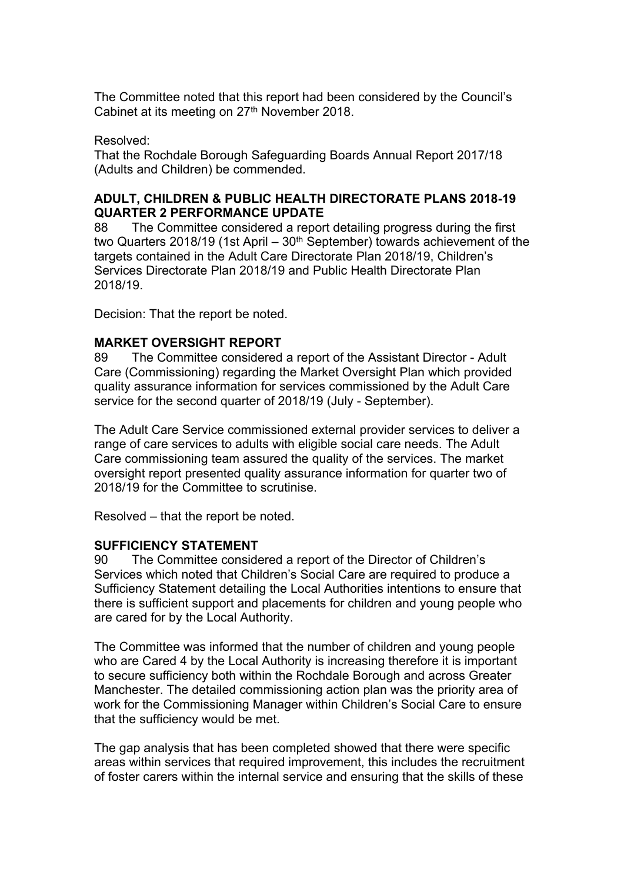The Committee noted that this report had been considered by the Council's Cabinet at its meeting on 27<sup>th</sup> November 2018.

#### Resolved:

That the Rochdale Borough Safeguarding Boards Annual Report 2017/18 (Adults and Children) be commended.

# **ADULT, CHILDREN & PUBLIC HEALTH DIRECTORATE PLANS 2018-19 QUARTER 2 PERFORMANCE UPDATE**

88 The Committee considered a report detailing progress during the first two Quarters 2018/19 (1st April –  $30<sup>th</sup>$  September) towards achievement of the targets contained in the Adult Care Directorate Plan 2018/19, Children's Services Directorate Plan 2018/19 and Public Health Directorate Plan 2018/19.

Decision: That the report be noted.

# **MARKET OVERSIGHT REPORT**

89 The Committee considered a report of the Assistant Director - Adult Care (Commissioning) regarding the Market Oversight Plan which provided quality assurance information for services commissioned by the Adult Care service for the second quarter of 2018/19 (July - September).

The Adult Care Service commissioned external provider services to deliver a range of care services to adults with eligible social care needs. The Adult Care commissioning team assured the quality of the services. The market oversight report presented quality assurance information for quarter two of 2018/19 for the Committee to scrutinise.

Resolved – that the report be noted.

#### **SUFFICIENCY STATEMENT**

90 The Committee considered a report of the Director of Children's Services which noted that Children's Social Care are required to produce a Sufficiency Statement detailing the Local Authorities intentions to ensure that there is sufficient support and placements for children and young people who are cared for by the Local Authority.

The Committee was informed that the number of children and young people who are Cared 4 by the Local Authority is increasing therefore it is important to secure sufficiency both within the Rochdale Borough and across Greater Manchester. The detailed commissioning action plan was the priority area of work for the Commissioning Manager within Children's Social Care to ensure that the sufficiency would be met.

The gap analysis that has been completed showed that there were specific areas within services that required improvement, this includes the recruitment of foster carers within the internal service and ensuring that the skills of these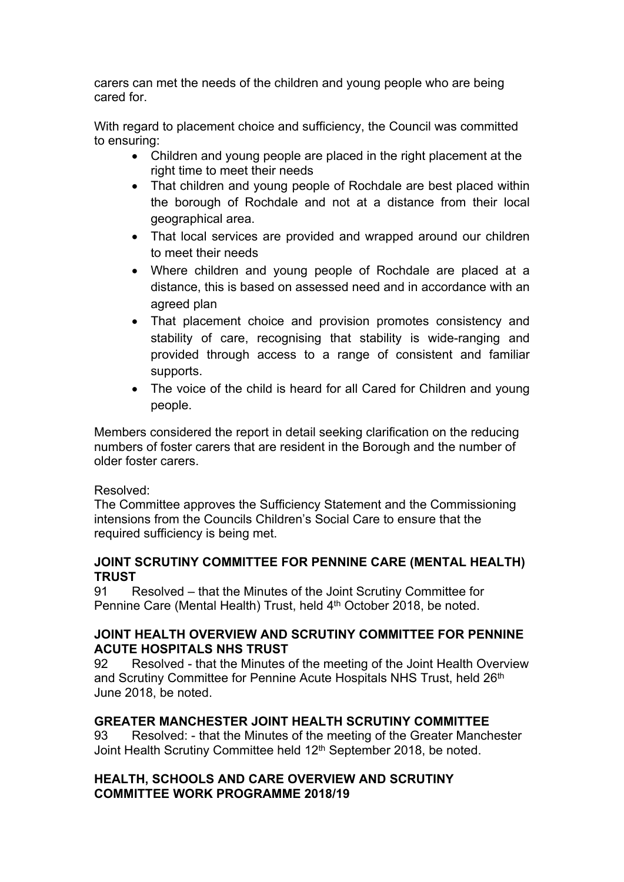carers can met the needs of the children and young people who are being cared for.

With regard to placement choice and sufficiency, the Council was committed to ensuring:

- Children and young people are placed in the right placement at the right time to meet their needs
- That children and young people of Rochdale are best placed within the borough of Rochdale and not at a distance from their local geographical area.
- That local services are provided and wrapped around our children to meet their needs
- Where children and young people of Rochdale are placed at a distance, this is based on assessed need and in accordance with an agreed plan
- That placement choice and provision promotes consistency and stability of care, recognising that stability is wide-ranging and provided through access to a range of consistent and familiar supports.
- The voice of the child is heard for all Cared for Children and young people.

Members considered the report in detail seeking clarification on the reducing numbers of foster carers that are resident in the Borough and the number of older foster carers.

# Resolved:

The Committee approves the Sufficiency Statement and the Commissioning intensions from the Councils Children's Social Care to ensure that the required sufficiency is being met.

# **JOINT SCRUTINY COMMITTEE FOR PENNINE CARE (MENTAL HEALTH) TRUST**

91 Resolved – that the Minutes of the Joint Scrutiny Committee for Pennine Care (Mental Health) Trust, held 4<sup>th</sup> October 2018, be noted.

# **JOINT HEALTH OVERVIEW AND SCRUTINY COMMITTEE FOR PENNINE ACUTE HOSPITALS NHS TRUST**

92 Resolved - that the Minutes of the meeting of the Joint Health Overview and Scrutiny Committee for Pennine Acute Hospitals NHS Trust, held 26<sup>th</sup> June 2018, be noted.

# **GREATER MANCHESTER JOINT HEALTH SCRUTINY COMMITTEE**

93 Resolved: - that the Minutes of the meeting of the Greater Manchester Joint Health Scrutiny Committee held 12<sup>th</sup> September 2018, be noted.

# **HEALTH, SCHOOLS AND CARE OVERVIEW AND SCRUTINY COMMITTEE WORK PROGRAMME 2018/19**